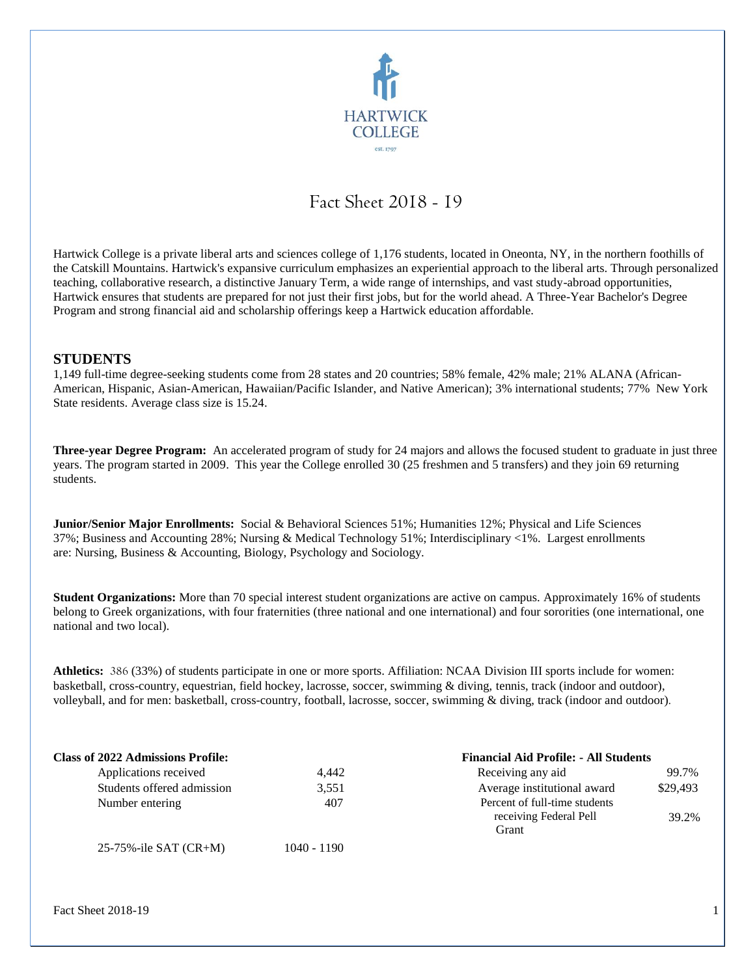

# Fact Sheet 2018 - 19

Hartwick College is a private liberal arts and sciences college of 1,176 students, located in Oneonta, NY, in the northern foothills of the Catskill Mountains. Hartwick's expansive curriculum emphasizes an experiential approach to the liberal arts. Through personalized teaching, collaborative research, a distinctive January Term, a wide range of internships, and vast study-abroad opportunities, Hartwick ensures that students are prepared for not just their first jobs, but for the world ahead. A Three-Year Bachelor's Degree Program and strong financial aid and scholarship offerings keep a Hartwick education affordable.

#### **STUDENTS**

1,149 full-time degree-seeking students come from 28 states and 20 countries; 58% female, 42% male; 21% ALANA (African-American, Hispanic, Asian-American, Hawaiian/Pacific Islander, and Native American); 3% international students; 77% New York State residents. Average class size is 15.24.

**Three-year Degree Program:** An accelerated program of study for 24 majors and allows the focused student to graduate in just three years. The program started in 2009. This year the College enrolled 30 (25 freshmen and 5 transfers) and they join 69 returning students.

**Junior/Senior Major Enrollments:** Social & Behavioral Sciences 51%; Humanities 12%; Physical and Life Sciences 37%; Business and Accounting 28%; Nursing & Medical Technology 51%; Interdisciplinary <1%. Largest enrollments are: Nursing, Business & Accounting, Biology, Psychology and Sociology.

**Student Organizations:** More than 70 special interest student organizations are active on campus. Approximately 16% of students belong to Greek organizations, with four fraternities (three national and one international) and four sororities (one international, one national and two local).

**Athletics:** 386 (33%) of students participate in one or more sports. Affiliation: NCAA Division III sports include for women: basketball, cross-country, equestrian, field hockey, lacrosse, soccer, swimming & diving, tennis, track (indoor and outdoor), volleyball, and for men: basketball, cross-country, football, lacrosse, soccer, swimming & diving, track (indoor and outdoor).

| <b>Class of 2022 Admissions Profile:</b> |               | <b>Financial Aid Profile: - All Students</b>                     |          |  |
|------------------------------------------|---------------|------------------------------------------------------------------|----------|--|
| Applications received                    | 4.442         | Receiving any aid                                                | 99.7%    |  |
| Students offered admission               | 3,551         | Average institutional award                                      | \$29,493 |  |
| Number entering                          | 407           | Percent of full-time students<br>receiving Federal Pell<br>Grant | 39.2%    |  |
| 25-75%-ile SAT $(CR+M)$                  | $1040 - 1190$ |                                                                  |          |  |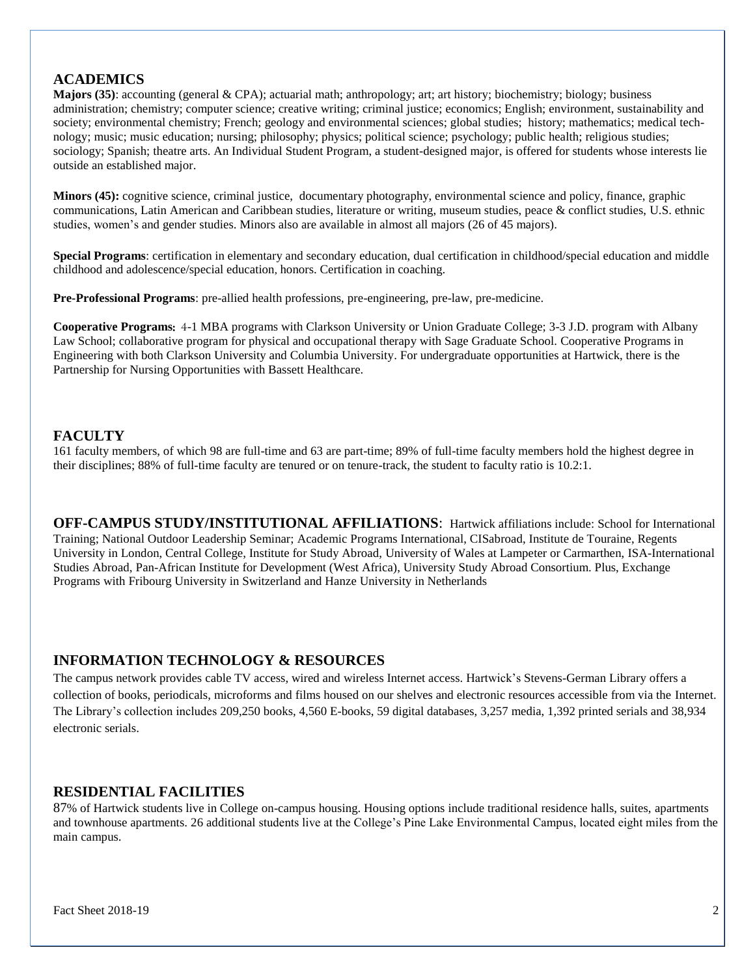# **ACADEMICS**

**Majors (35)**: accounting (general & CPA); actuarial math; anthropology; art; art history; biochemistry; biology; business administration; chemistry; computer science; creative writing; criminal justice; economics; English; environment, sustainability and society; environmental chemistry; French; geology and environmental sciences; global studies; history; mathematics; medical technology; music; music education; nursing; philosophy; physics; political science; psychology; public health; religious studies; sociology; Spanish; theatre arts. An Individual Student Program, a student-designed major, is offered for students whose interests lie outside an established major.

**Minors (45):** cognitive science, criminal justice, documentary photography, environmental science and policy, finance, graphic communications, Latin American and Caribbean studies, literature or writing, museum studies, peace & conflict studies, U.S. ethnic studies, women's and gender studies. Minors also are available in almost all majors (26 of 45 majors).

**Special Programs**: certification in elementary and secondary education, dual certification in childhood/special education and middle childhood and adolescence/special education, honors. Certification in coaching.

**Pre-Professional Programs**: pre-allied health professions, pre-engineering, pre-law, pre-medicine.

**Cooperative Programs**: 4-1 MBA programs with Clarkson University or Union Graduate College; 3-3 J.D. program with Albany Law School; collaborative program for physical and occupational therapy with Sage Graduate School. Cooperative Programs in Engineering with both Clarkson University and Columbia University. For undergraduate opportunities at Hartwick, there is the Partnership for Nursing Opportunities with Bassett Healthcare.

## **FACULTY**

161 faculty members, of which 98 are full-time and 63 are part-time; 89% of full-time faculty members hold the highest degree in their disciplines; 88% of full-time faculty are tenured or on tenure-track, the student to faculty ratio is 10.2:1.

**OFF-CAMPUS STUDY/INSTITUTIONAL AFFILIATIONS**: Hartwick affiliations include: School for International Training; National Outdoor Leadership Seminar; Academic Programs International, CISabroad, Institute de Touraine, Regents University in London, Central College, Institute for Study Abroad, University of Wales at Lampeter or Carmarthen, ISA-International Studies Abroad, Pan-African Institute for Development (West Africa), University Study Abroad Consortium. Plus, Exchange Programs with Fribourg University in Switzerland and Hanze University in Netherlands

## **INFORMATION TECHNOLOGY & RESOURCES**

The campus network provides cable TV access, wired and wireless Internet access. Hartwick's Stevens-German Library offers a collection of books, periodicals, microforms and films housed on our shelves and electronic resources accessible from via the Internet. The Library's collection includes 209,250 books, 4,560 E-books, 59 digital databases, 3,257 media, 1,392 printed serials and 38,934 electronic serials.

## **RESIDENTIAL FACILITIES**

87% of Hartwick students live in College on-campus housing. Housing options include traditional residence halls, suites, apartments and townhouse apartments. 26 additional students live at the College's Pine Lake Environmental Campus, located eight miles from the main campus.